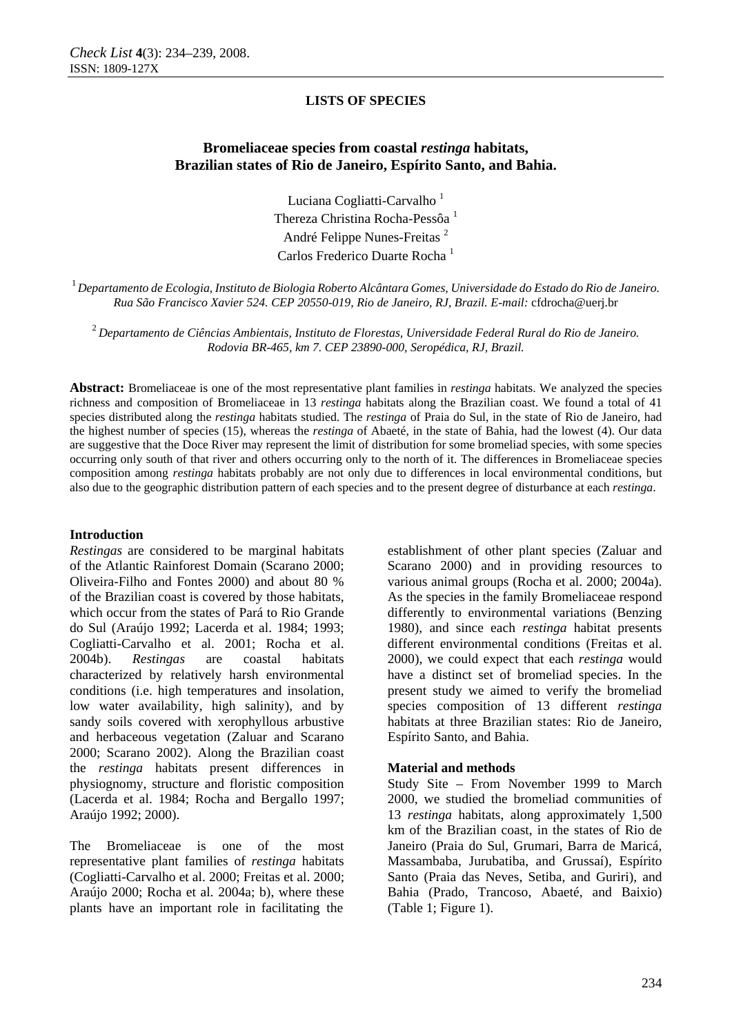# **Bromeliaceae species from coastal** *restinga* **habitats, Brazilian states of Rio de Janeiro, Espírito Santo, and Bahia.**

Luciana Cogliatti-Carvalho<sup>1</sup> Thereza Christina Rocha-Pessôa <sup>1</sup> André Felippe Nunes-Freitas <sup>2</sup> Carlos Frederico Duarte Rocha 1

 $^1$ Departamento de Ecologia, Instituto de Biologia Roberto Alcântara Gomes, Universidade do Estado do Rio de Janeiro. *Rua São Francisco Xavier 524. CEP 20550-019, Rio de Janeiro, RJ, Brazil. E-mail:* cfdrocha@uerj.br

<sup>2</sup>*Departamento de Ciências Ambientais, Instituto de Florestas, Universidade Federal Rural do Rio de Janeiro. Rodovia BR-465, km 7. CEP 23890-000, Seropédica, RJ, Brazil.* 

**Abstract:** Bromeliaceae is one of the most representative plant families in *restinga* habitats. We analyzed the species richness and composition of Bromeliaceae in 13 *restinga* habitats along the Brazilian coast. We found a total of 41 species distributed along the *restinga* habitats studied. The *restinga* of Praia do Sul, in the state of Rio de Janeiro, had the highest number of species (15), whereas the *restinga* of Abaeté, in the state of Bahia, had the lowest (4). Our data are suggestive that the Doce River may represent the limit of distribution for some bromeliad species, with some species occurring only south of that river and others occurring only to the north of it. The differences in Bromeliaceae species composition among *restinga* habitats probably are not only due to differences in local environmental conditions, but also due to the geographic distribution pattern of each species and to the present degree of disturbance at each *restinga*.

### **Introduction**

*Restingas* are considered to be marginal habitats of the Atlantic Rainforest Domain (Scarano 2000; Oliveira-Filho and Fontes 2000) and about 80 % of the Brazilian coast is covered by those habitats, which occur from the states of Pará to Rio Grande do Sul (Araújo 1992; Lacerda et al. 1984; 1993; Cogliatti-Carvalho et al. 2001; Rocha et al. 2004b). *Restingas* are coastal habitats characterized by relatively harsh environmental conditions (i.e. high temperatures and insolation, low water availability, high salinity), and by sandy soils covered with xerophyllous arbustive and herbaceous vegetation (Zaluar and Scarano 2000; Scarano 2002). Along the Brazilian coast the *restinga* habitats present differences in physiognomy, structure and floristic composition (Lacerda et al. 1984; Rocha and Bergallo 1997; Araújo 1992; 2000).

The Bromeliaceae is one of the most representative plant families of *restinga* habitats (Cogliatti-Carvalho et al. 2000; Freitas et al. 2000; Araújo 2000; Rocha et al. 2004a; b), where these plants have an important role in facilitating the

establishment of other plant species (Zaluar and Scarano 2000) and in providing resources to various animal groups (Rocha et al. 2000; 2004a). As the species in the family Bromeliaceae respond differently to environmental variations (Benzing 1980), and since each *restinga* habitat presents different environmental conditions (Freitas et al. 2000), we could expect that each *restinga* would have a distinct set of bromeliad species. In the present study we aimed to verify the bromeliad species composition of 13 different *restinga* habitats at three Brazilian states: Rio de Janeiro, Espírito Santo, and Bahia.

#### **Material and methods**

Study Site – From November 1999 to March 2000, we studied the bromeliad communities of 13 *restinga* habitats, along approximately 1,500 km of the Brazilian coast, in the states of Rio de Janeiro (Praia do Sul, Grumari, Barra de Maricá, Massambaba, Jurubatiba, and Grussaí), Espírito Santo (Praia das Neves, Setiba, and Guriri), and Bahia (Prado, Trancoso, Abaeté, and Baixio) (Table 1; Figure 1).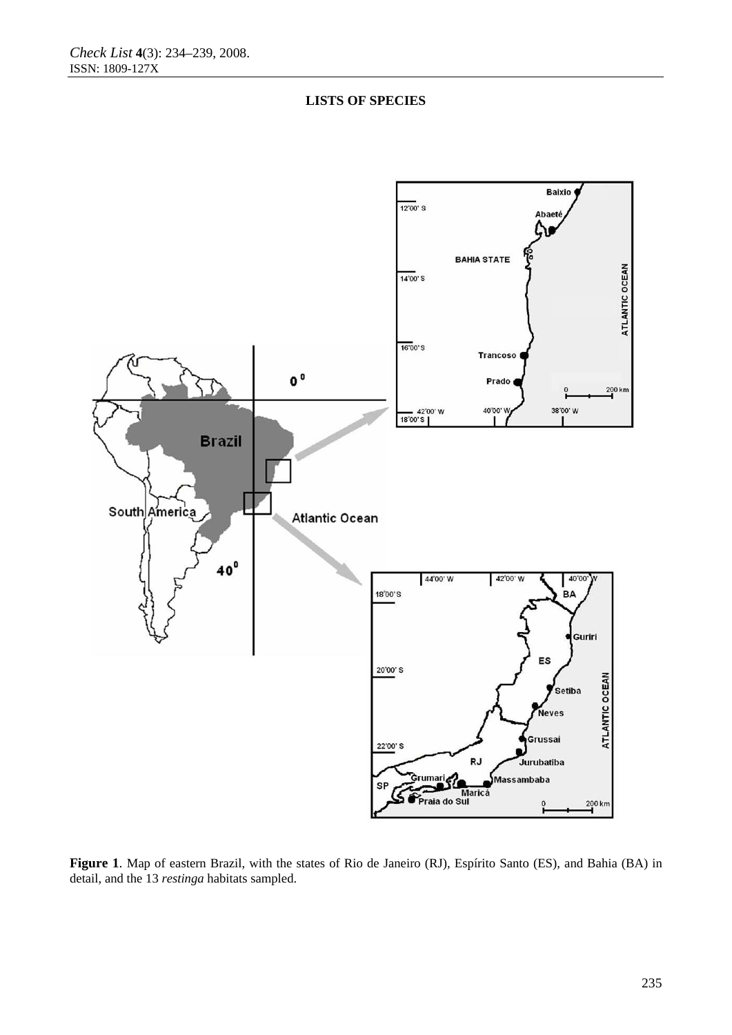



**Figure 1**. Map of eastern Brazil, with the states of Rio de Janeiro (RJ), Espírito Santo (ES), and Bahia (BA) in detail, and the 13 *restinga* habitats sampled.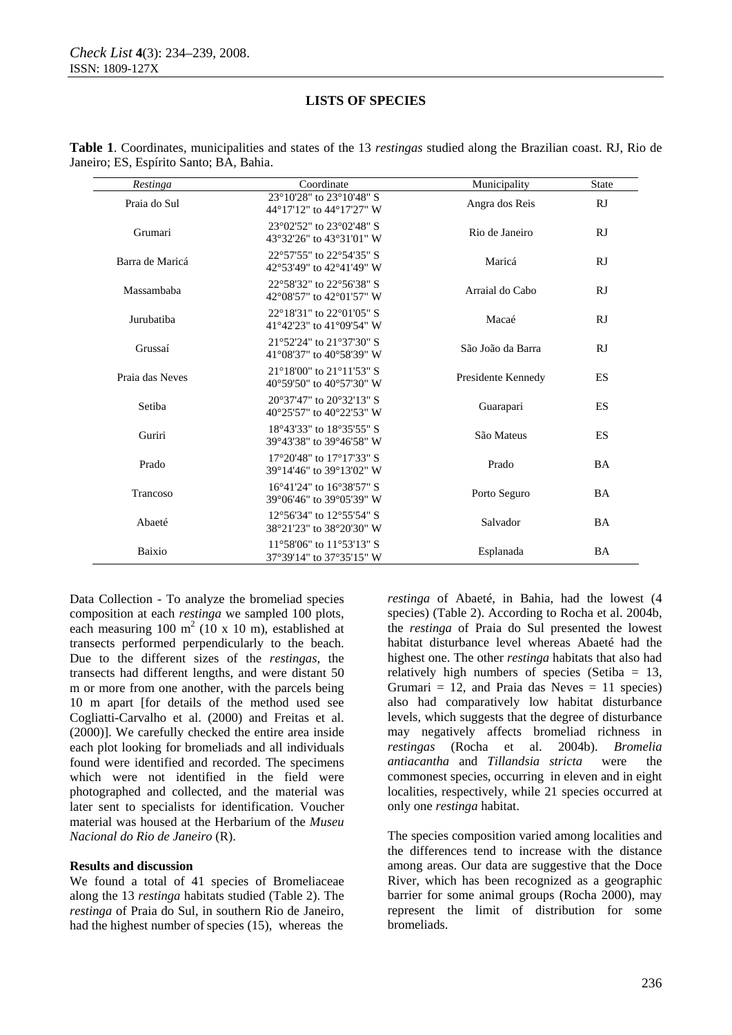| Restinga        | Coordinate                                                               | Municipality       | <b>State</b> |
|-----------------|--------------------------------------------------------------------------|--------------------|--------------|
| Praia do Sul    | 23°10'28" to 23°10'48" S<br>44°17'12" to 44°17'27" W                     | Angra dos Reis     | RJ           |
| Grumari         | 23°02'52" to 23°02'48" S<br>43°32'26" to 43°31'01" W                     | Rio de Janeiro     | RJ           |
| Barra de Maricá | 22°57'55" to 22°54'35" S<br>42°53'49" to 42°41'49" W                     | Maricá             | RJ           |
| Massambaba      | 22°58'32" to 22°56'38" S<br>42°08'57" to 42°01'57" W                     | Arraial do Cabo    | RJ           |
| Jurubatiba      | 22°18'31" to 22°01'05" S<br>41°42'23" to 41°09'54" W                     | Macaé              | RJ           |
| Grussaí         | 21°52'24" to 21°37'30" S<br>41°08'37" to 40°58'39" W                     | São João da Barra  | RJ           |
| Praia das Neves | 21°18'00" to 21°11'53" S<br>40°59'50" to 40°57'30" W                     | Presidente Kennedy | <b>ES</b>    |
| Setiba          | 20°37'47" to 20°32'13" S<br>$40^{\circ}25'57''$ to $40^{\circ}22'53''$ W | Guarapari          | <b>ES</b>    |
| Guriri          | 18°43'33" to 18°35'55" S<br>39°43'38" to 39°46'58" W                     | São Mateus         | ES           |
| Prado           | 17°20'48" to 17°17'33" S<br>39°14'46" to 39°13'02" W                     | Prado              | <b>BA</b>    |
| Trancoso        | 16°41'24" to 16°38'57" S<br>39°06'46" to 39°05'39" W                     | Porto Seguro       | <b>BA</b>    |
| Abaeté          | 12°56'34" to 12°55'54" S<br>38°21'23" to 38°20'30" W                     | Salvador           | <b>BA</b>    |
| Baixio          | 11°58'06" to 11°53'13" S<br>37°39'14" to 37°35'15" W                     | Esplanada          | <b>BA</b>    |

**Table 1**. Coordinates, municipalities and states of the 13 *restingas* studied along the Brazilian coast. RJ, Rio de Janeiro; ES, Espírito Santo; BA, Bahia.

Data Collection - To analyze the bromeliad species composition at each *restinga* we sampled 100 plots, each measuring  $100 \text{ m}^2$  (10 x 10 m), established at transects performed perpendicularly to the beach. Due to the different sizes of the *restingas*, the transects had different lengths, and were distant 50 m or more from one another, with the parcels being 10 m apart [for details of the method used see Cogliatti-Carvalho et al. (2000) and Freitas et al. (2000)]. We carefully checked the entire area inside each plot looking for bromeliads and all individuals found were identified and recorded. The specimens which were not identified in the field were photographed and collected, and the material was later sent to specialists for identification. Voucher material was housed at the Herbarium of the *Museu Nacional do Rio de Janeiro* (R).

### **Results and discussion**

We found a total of 41 species of Bromeliaceae along the 13 *restinga* habitats studied (Table 2). The *restinga* of Praia do Sul, in southern Rio de Janeiro, had the highest number of species  $(15)$ , whereas the

*restinga* of Abaeté, in Bahia, had the lowest (4 species) (Table 2). According to Rocha et al. 2004b, the *restinga* of Praia do Sul presented the lowest habitat disturbance level whereas Abaeté had the highest one. The other *restinga* habitats that also had relatively high numbers of species (Setiba  $= 13$ , Grumari = 12, and Praia das Neves = 11 species) also had comparatively low habitat disturbance levels, which suggests that the degree of disturbance may negatively affects bromeliad richness in *restingas* (Rocha et al. 2004b). *Bromelia antiacantha* and *Tillandsia stricta* were the commonest species, occurring in eleven and in eight localities, respectively, while 21 species occurred at only one *restinga* habitat.

The species composition varied among localities and the differences tend to increase with the distance among areas. Our data are suggestive that the Doce River, which has been recognized as a geographic barrier for some animal groups (Rocha 2000), may represent the limit of distribution for some bromeliads.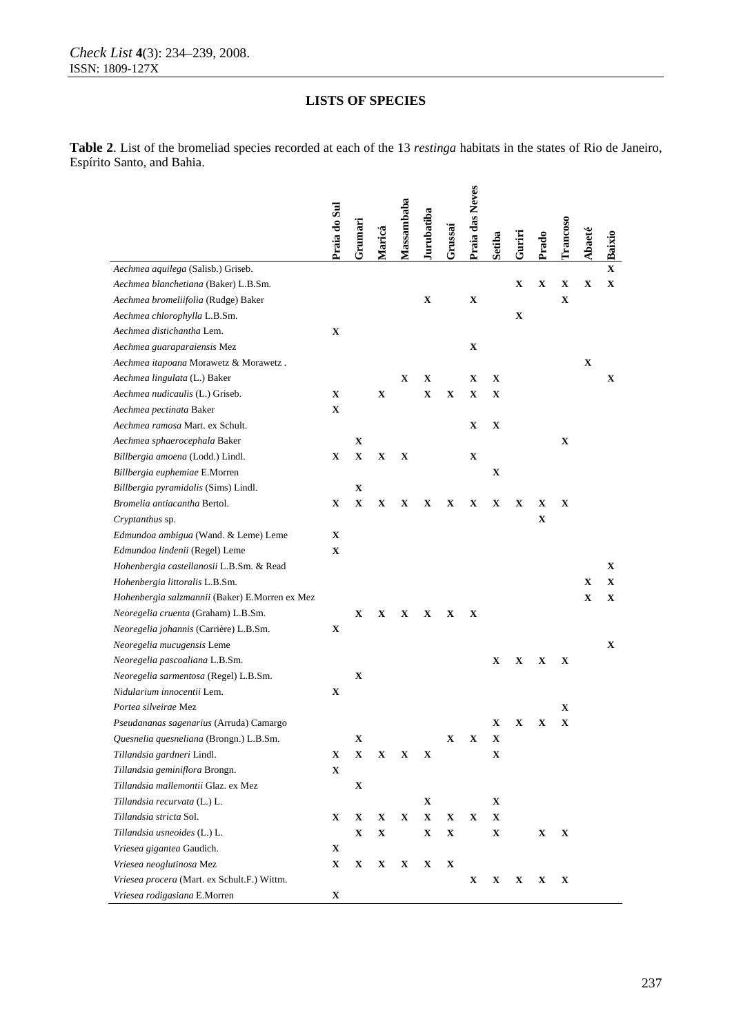**Table 2**. List of the bromeliad species recorded at each of the 13 *restinga* habitats in the states of Rio de Janeiro, Espírito Santo, and Bahia.

|                                                | Praia do Sul | Grumari     |             | Massambaba  | urubatiba   | Grussai     | Praia das Neves |             |               |             | <b>Trancoso</b> |        |              |
|------------------------------------------------|--------------|-------------|-------------|-------------|-------------|-------------|-----------------|-------------|---------------|-------------|-----------------|--------|--------------|
|                                                |              |             | Maricá      |             |             |             |                 | Setiba      | <b>Guriri</b> | Prado       |                 | Abaeté | Baixio       |
| Aechmea aquilega (Salisb.) Griseb.             |              |             |             |             |             |             |                 |             |               |             |                 |        | $\mathbf{X}$ |
| Aechmea blanchetiana (Baker) L.B.Sm.           |              |             |             |             |             |             |                 |             | $\mathbf X$   | X           | X               | X      | X            |
| Aechmea bromeliifolia (Rudge) Baker            |              |             |             |             | X           |             | X               |             |               |             | X               |        |              |
| Aechmea chlorophylla L.B.Sm.                   |              |             |             |             |             |             |                 |             | $\mathbf X$   |             |                 |        |              |
| Aechmea distichantha Lem.                      | X            |             |             |             |             |             |                 |             |               |             |                 |        |              |
| Aechmea guaraparaiensis Mez                    |              |             |             |             |             |             | X               |             |               |             |                 |        |              |
| Aechmea itapoana Morawetz & Morawetz.          |              |             |             |             |             |             |                 |             |               |             |                 | X      |              |
| Aechmea lingulata (L.) Baker                   |              |             |             | X           | X           |             | X               | $\mathbf X$ |               |             |                 |        | X            |
| Aechmea nudicaulis (L.) Griseb.                | X            |             | X           |             | $\mathbf X$ | X           | X               | X           |               |             |                 |        |              |
| Aechmea pectinata Baker                        | X            |             |             |             |             |             |                 |             |               |             |                 |        |              |
| Aechmea ramosa Mart. ex Schult.                |              |             |             |             |             |             | X               | $\mathbf X$ |               |             |                 |        |              |
| Aechmea sphaerocephala Baker                   |              | $\mathbf X$ |             |             |             |             |                 |             |               |             | X               |        |              |
| Billbergia amoena (Lodd.) Lindl.               | X            | $\mathbf X$ | X           | X           |             |             | X               |             |               |             |                 |        |              |
| Billbergia euphemiae E.Morren                  |              |             |             |             |             |             |                 | $\mathbf X$ |               |             |                 |        |              |
| Billbergia pyramidalis (Sims) Lindl.           |              | $\mathbf X$ |             |             |             |             |                 |             |               |             |                 |        |              |
| Bromelia antiacantha Bertol.                   | X            | $\mathbf X$ | $\mathbf X$ | X           | x           | x           | X               | X           | X             | X           | X               |        |              |
| Cryptanthus sp.                                |              |             |             |             |             |             |                 |             |               | $\mathbf X$ |                 |        |              |
| Edmundoa ambigua (Wand. & Leme) Leme           | X            |             |             |             |             |             |                 |             |               |             |                 |        |              |
| Edmundoa lindenii (Regel) Leme                 | X            |             |             |             |             |             |                 |             |               |             |                 |        |              |
| Hohenbergia castellanosii L.B.Sm. & Read       |              |             |             |             |             |             |                 |             |               |             |                 |        | X            |
| Hohenbergia littoralis L.B.Sm.                 |              |             |             |             |             |             |                 |             |               |             |                 | X      | X            |
| Hohenbergia salzmannii (Baker) E.Morren ex Mez |              |             |             |             |             |             |                 |             |               |             |                 | X      | X            |
| Neoregelia cruenta (Graham) L.B.Sm.            |              | X           | X           | X           | X           | X           | X               |             |               |             |                 |        |              |
| Neoregelia johannis (Carrière) L.B.Sm.         | x            |             |             |             |             |             |                 |             |               |             |                 |        |              |
| Neoregelia mucugensis Leme                     |              |             |             |             |             |             |                 |             |               |             |                 |        | X            |
| Neoregelia pascoaliana L.B.Sm.                 |              |             |             |             |             |             |                 | X           | X             | X           | X               |        |              |
| Neoregelia sarmentosa (Regel) L.B.Sm.          |              | $\mathbf X$ |             |             |             |             |                 |             |               |             |                 |        |              |
| Nidularium innocentii Lem.                     | X            |             |             |             |             |             |                 |             |               |             |                 |        |              |
| Portea silveirae Mez                           |              |             |             |             |             |             |                 |             |               |             | X               |        |              |
| Pseudananas sagenarius (Arruda) Camargo        |              |             |             |             |             |             |                 | X           | X             | X           | X               |        |              |
| Quesnelia quesneliana (Brongn.) L.B.Sm.        |              | $\mathbf X$ |             |             |             | $\mathbf X$ | $\mathbf X$     | X           |               |             |                 |        |              |
| Tillandsia gardneri Lindl.                     | X            | $\mathbf X$ | $\mathbf X$ | X           | $\mathbf X$ |             |                 | $\mathbf X$ |               |             |                 |        |              |
| Tillandsia geminiflora Brongn.                 | $\mathbf X$  |             |             |             |             |             |                 |             |               |             |                 |        |              |
| Tillandsia mallemontii Glaz. ex Mez            |              | $\mathbf X$ |             |             |             |             |                 |             |               |             |                 |        |              |
| Tillandsia recurvata (L.) L.                   |              |             |             |             | $\mathbf X$ |             |                 | $\mathbf X$ |               |             |                 |        |              |
| Tillandsia stricta Sol.                        | X            | $\mathbf X$ | $\mathbf X$ | $\mathbf X$ | $\mathbf X$ | $\mathbf X$ | $\mathbf X$     | $\mathbf X$ |               |             |                 |        |              |
| Tillandsia usneoides (L.) L.                   |              | $\mathbf X$ | $\mathbf X$ |             | $\mathbf X$ | $\mathbf X$ |                 | $\mathbf X$ |               | $\mathbf X$ | X               |        |              |
| Vriesea gigantea Gaudich.                      | X            |             |             |             |             |             |                 |             |               |             |                 |        |              |
| Vriesea neoglutinosa Mez                       | $\mathbf X$  | $\mathbf X$ | $\mathbf X$ | $\mathbf X$ | $\mathbf X$ | $\mathbf X$ |                 |             |               |             |                 |        |              |
| Vriesea procera (Mart. ex Schult.F.) Wittm.    |              |             |             |             |             |             | X               | X           | X             | X           | X               |        |              |
| Vriesea rodigasiana E.Morren                   | $\mathbf X$  |             |             |             |             |             |                 |             |               |             |                 |        |              |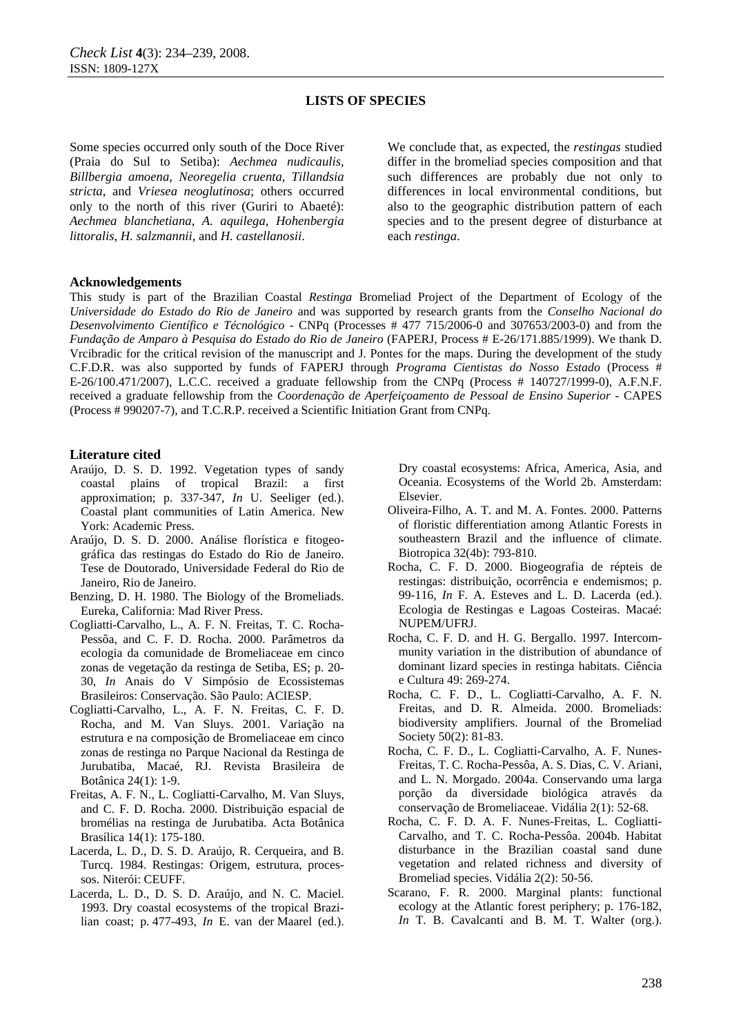Some species occurred only south of the Doce River (Praia do Sul to Setiba): *Aechmea nudicaulis*, *Billbergia amoena*, *Neoregelia cruenta*, *Tillandsia stricta*, and *Vriesea neoglutinosa*; others occurred only to the north of this river (Guriri to Abaeté): *Aechmea blanchetiana*, *A. aquilega*, *Hohenbergia littoralis*, *H. salzmannii,* and *H. castellanosii*.

We conclude that, as expected, the *restingas* studied differ in the bromeliad species composition and that such differences are probably due not only to differences in local environmental conditions, but also to the geographic distribution pattern of each species and to the present degree of disturbance at each *restinga*.

#### **Acknowledgements**

This study is part of the Brazilian Coastal *Restinga* Bromeliad Project of the Department of Ecology of the *Universidade do Estado do Rio de Janeiro* and was supported by research grants from the *Conselho Nacional do Desenvolvimento Científico e Técnológico* - CNPq (Processes # 477 715/2006-0 and 307653/2003-0) and from the *Fundação de Amparo à Pesquisa do Estado do Rio de Janeiro* (FAPERJ, Process # E-26/171.885/1999). We thank D. Vrcibradic for the critical revision of the manuscript and J. Pontes for the maps. During the development of the study C.F.D.R. was also supported by funds of FAPERJ through *Programa Cientistas do Nosso Estado* (Process # E-26/100.471/2007), L.C.C. received a graduate fellowship from the CNPq (Process # 140727/1999-0), A.F.N.F. received a graduate fellowship from the *Coordenação de Aperfeiçoamento de Pessoal de Ensino Superior* - CAPES (Process # 990207-7), and T.C.R.P. received a Scientific Initiation Grant from CNPq.

#### **Literature cited**

- Araújo, D. S. D. 1992. Vegetation types of sandy coastal plains of tropical Brazil: a first approximation; p. 337-347, *In* U. Seeliger (ed.). Coastal plant communities of Latin America. New York: Academic Press.
- Araújo, D. S. D. 2000. Análise florística e fitogeográfica das restingas do Estado do Rio de Janeiro. Tese de Doutorado, Universidade Federal do Rio de Janeiro, Rio de Janeiro.
- Benzing, D. H. 1980. The Biology of the Bromeliads. Eureka, California: Mad River Press.
- Cogliatti-Carvalho, L., A. F. N. Freitas, T. C. Rocha-Pessôa, and C. F. D. Rocha. 2000. Parâmetros da ecologia da comunidade de Bromeliaceae em cinco zonas de vegetação da restinga de Setiba, ES; p. 20- 30, *In* Anais do V Simpósio de Ecossistemas Brasileiros: Conservação. São Paulo: ACIESP.
- Cogliatti-Carvalho, L., A. F. N. Freitas, C. F. D. Rocha, and M. Van Sluys. 2001. Variação na estrutura e na composição de Bromeliaceae em cinco zonas de restinga no Parque Nacional da Restinga de Jurubatiba, Macaé, RJ. Revista Brasileira de Botânica 24(1): 1-9.
- Freitas, A. F. N., L. Cogliatti-Carvalho, M. Van Sluys, and C. F. D. Rocha. 2000. Distribuição espacial de bromélias na restinga de Jurubatiba. Acta Botânica Brasílica 14(1): 175-180.
- Lacerda, L. D., D. S. D. Araújo, R. Cerqueira, and B. Turcq. 1984. Restingas: Origem, estrutura, processos. Niterói: CEUFF.
- Lacerda, L. D., D. S. D. Araújo, and N. C. Maciel. 1993. Dry coastal ecosystems of the tropical Brazilian coast; p. 477-493, *In* E. van der Maarel (ed.).

Dry coastal ecosystems: Africa, America, Asia, and Oceania. Ecosystems of the World 2b. Amsterdam: Elsevier.

- Oliveira-Filho, A. T. and M. A. Fontes. 2000. Patterns of floristic differentiation among Atlantic Forests in southeastern Brazil and the influence of climate. Biotropica 32(4b): 793-810.
- Rocha, C. F. D. 2000. Biogeografia de répteis de restingas: distribuição, ocorrência e endemismos; p. 99-116, *In* F. A. Esteves and L. D. Lacerda (ed.). Ecologia de Restingas e Lagoas Costeiras. Macaé: NUPEM/UFRJ.
- Rocha, C. F. D. and H. G. Bergallo. 1997. Intercommunity variation in the distribution of abundance of dominant lizard species in restinga habitats. Ciência e Cultura 49: 269-274.
- Rocha, C. F. D., L. Cogliatti-Carvalho, A. F. N. Freitas, and D. R. Almeida. 2000. Bromeliads: biodiversity amplifiers. Journal of the Bromeliad Society 50(2): 81-83.
- Rocha, C. F. D., L. Cogliatti-Carvalho, A. F. Nunes-Freitas, T. C. Rocha-Pessôa, A. S. Dias, C. V. Ariani, and L. N. Morgado. 2004a. Conservando uma larga porção da diversidade biológica através da conservação de Bromeliaceae. Vidália 2(1): 52-68.
- Rocha, C. F. D. A. F. Nunes-Freitas, L. Cogliatti-Carvalho, and T. C. Rocha-Pessôa. 2004b. Habitat disturbance in the Brazilian coastal sand dune vegetation and related richness and diversity of Bromeliad species. Vidália 2(2): 50-56.
- Scarano, F. R. 2000. Marginal plants: functional ecology at the Atlantic forest periphery; p. 176-182, *In* T. B. Cavalcanti and B. M. T. Walter (org.).